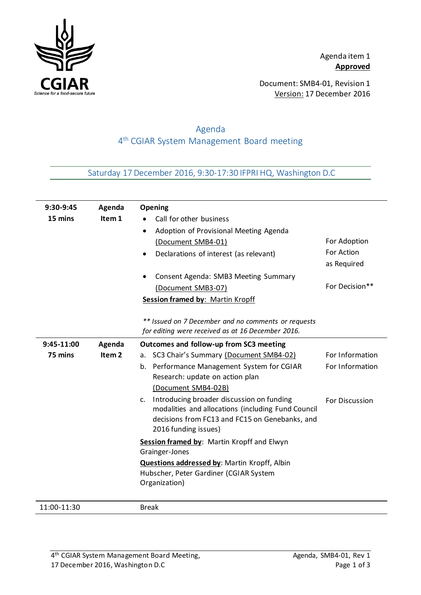

Document: SMB4-01, Revision 1 Version: 17 December 2016

## Agenda 4 th CGIAR System Management Board meeting

Saturday 17 December 2016, 9:30-17:30 IFPRI HQ, Washington D.C

| 9:30-9:45   | Agenda            | Opening                                                                                       |                 |
|-------------|-------------------|-----------------------------------------------------------------------------------------------|-----------------|
| 15 mins     | Item 1            | Call for other business                                                                       |                 |
|             |                   | Adoption of Provisional Meeting Agenda                                                        |                 |
|             |                   | (Document SMB4-01)                                                                            | For Adoption    |
|             |                   | Declarations of interest (as relevant)                                                        | For Action      |
|             |                   |                                                                                               | as Required     |
|             |                   | Consent Agenda: SMB3 Meeting Summary                                                          |                 |
|             |                   | (Document SMB3-07)                                                                            | For Decision**  |
|             |                   | <b>Session framed by: Martin Kropff</b>                                                       |                 |
|             |                   |                                                                                               |                 |
|             |                   | ** Issued on 7 December and no comments or requests                                           |                 |
|             |                   | for editing were received as at 16 December 2016.                                             |                 |
| 9:45-11:00  | Agenda            | Outcomes and follow-up from SC3 meeting                                                       |                 |
| 75 mins     | Item <sub>2</sub> | SC3 Chair's Summary (Document SMB4-02)<br>а.                                                  | For Information |
|             |                   | b. Performance Management System for CGIAR                                                    | For Information |
|             |                   | Research: update on action plan                                                               |                 |
|             |                   | (Document SMB4-02B)                                                                           |                 |
|             |                   | Introducing broader discussion on funding<br>C <sub>1</sub>                                   | For Discussion  |
|             |                   | modalities and allocations (including Fund Council                                            |                 |
|             |                   | decisions from FC13 and FC15 on Genebanks, and                                                |                 |
|             |                   | 2016 funding issues)                                                                          |                 |
|             |                   | Session framed by: Martin Kropff and Elwyn                                                    |                 |
|             |                   | Grainger-Jones                                                                                |                 |
|             |                   | <b>Questions addressed by: Martin Kropff, Albin</b><br>Hubscher, Peter Gardiner (CGIAR System |                 |
|             |                   | Organization)                                                                                 |                 |
|             |                   |                                                                                               |                 |
| 11:00-11:30 |                   | <b>Break</b>                                                                                  |                 |

4<sup>th</sup> CGIAR System Management Board Meeting, North Communist Magenda, SMB4-01, Rev 1 17 December 2016, Washington D.C example 2016 and 2016 and 2017 and 2018 and 2018 and 2018 and 2018 and 2018 and 2018 and 2019 and 2018 and 2018 and 2018 and 2018 and 2018 and 2018 and 2018 and 2018 and 2019 and 2018 and 2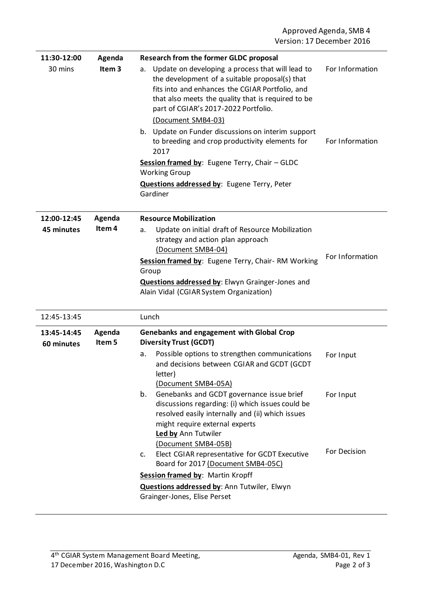| 11:30-12:00               | Agenda                      | <b>Research from the former GLDC proposal</b>                                                                                                                                                                                                                                                                                                                                                                                                                                                                           |                                    |
|---------------------------|-----------------------------|-------------------------------------------------------------------------------------------------------------------------------------------------------------------------------------------------------------------------------------------------------------------------------------------------------------------------------------------------------------------------------------------------------------------------------------------------------------------------------------------------------------------------|------------------------------------|
| 30 mins                   | Item <sub>3</sub>           | Update on developing a process that will lead to<br>a.<br>the development of a suitable proposal(s) that<br>fits into and enhances the CGIAR Portfolio, and<br>that also meets the quality that is required to be<br>part of CGIAR's 2017-2022 Portfolio.<br>(Document SMB4-03)<br>b. Update on Funder discussions on interim support<br>to breeding and crop productivity elements for<br>2017<br>Session framed by: Eugene Terry, Chair - GLDC<br><b>Working Group</b><br>Questions addressed by: Eugene Terry, Peter | For Information<br>For Information |
|                           |                             | Gardiner                                                                                                                                                                                                                                                                                                                                                                                                                                                                                                                |                                    |
| 12:00-12:45<br>45 minutes | Agenda<br>Item <sub>4</sub> | <b>Resource Mobilization</b><br>Update on initial draft of Resource Mobilization<br>a.<br>strategy and action plan approach<br>(Document SMB4-04)<br>Session framed by: Eugene Terry, Chair-RM Working<br>Group<br>Questions addressed by: Elwyn Grainger-Jones and<br>Alain Vidal (CGIAR System Organization)                                                                                                                                                                                                          | For Information                    |
| 12:45-13:45               |                             | Lunch                                                                                                                                                                                                                                                                                                                                                                                                                                                                                                                   |                                    |
| 13:45-14:45<br>60 minutes | Agenda<br>Item 5            | <b>Genebanks and engagement with Global Crop</b><br><b>Diversity Trust (GCDT)</b><br>Possible options to strengthen communications<br>а.<br>and decisions between CGIAR and GCDT (GCDT                                                                                                                                                                                                                                                                                                                                  | For Input                          |
|                           |                             | letter)<br>(Document SMB4-05A)<br>Genebanks and GCDT governance issue brief<br>b.<br>discussions regarding: (i) which issues could be<br>resolved easily internally and (ii) which issues<br>might require external experts<br>Led by Ann Tutwiler<br>(Document SMB4-05B)<br>Elect CGIAR representative for GCDT Executive<br>c.<br>Board for 2017 (Document SMB4-05C)                                                                                                                                                  | For Input<br>For Decision          |
|                           |                             | Session framed by: Martin Kropff                                                                                                                                                                                                                                                                                                                                                                                                                                                                                        |                                    |
|                           |                             | Questions addressed by: Ann Tutwiler, Elwyn<br>Grainger-Jones, Elise Perset                                                                                                                                                                                                                                                                                                                                                                                                                                             |                                    |